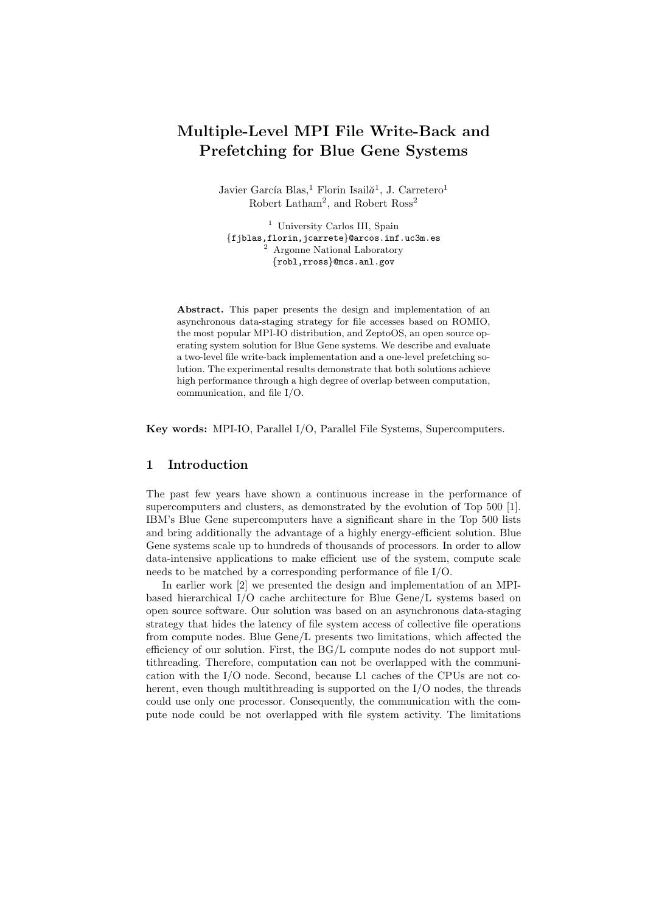# Multiple-Level MPI File Write-Back and Prefetching for Blue Gene Systems

Javier García Blas,<sup>1</sup> Florin Isail $\check{a}^1$ , J. Carretero<sup>1</sup> Robert Latham<sup>2</sup>, and Robert Ross<sup>2</sup>

<sup>1</sup> University Carlos III, Spain {fjblas,florin,jcarrete}@arcos.inf.uc3m.es <sup>2</sup> Argonne National Laboratory {robl,rross}@mcs.anl.gov

Abstract. This paper presents the design and implementation of an asynchronous data-staging strategy for file accesses based on ROMIO, the most popular MPI-IO distribution, and ZeptoOS, an open source operating system solution for Blue Gene systems. We describe and evaluate a two-level file write-back implementation and a one-level prefetching solution. The experimental results demonstrate that both solutions achieve high performance through a high degree of overlap between computation, communication, and file I/O.

Key words: MPI-IO, Parallel I/O, Parallel File Systems, Supercomputers.

## 1 Introduction

The past few years have shown a continuous increase in the performance of supercomputers and clusters, as demonstrated by the evolution of Top 500 [1]. IBM's Blue Gene supercomputers have a significant share in the Top 500 lists and bring additionally the advantage of a highly energy-efficient solution. Blue Gene systems scale up to hundreds of thousands of processors. In order to allow data-intensive applications to make efficient use of the system, compute scale needs to be matched by a corresponding performance of file I/O.

In earlier work [2] we presented the design and implementation of an MPIbased hierarchical I/O cache architecture for Blue Gene/L systems based on open source software. Our solution was based on an asynchronous data-staging strategy that hides the latency of file system access of collective file operations from compute nodes. Blue Gene/L presents two limitations, which affected the efficiency of our solution. First, the BG/L compute nodes do not support multithreading. Therefore, computation can not be overlapped with the communication with the I/O node. Second, because L1 caches of the CPUs are not coherent, even though multithreading is supported on the I/O nodes, the threads could use only one processor. Consequently, the communication with the compute node could be not overlapped with file system activity. The limitations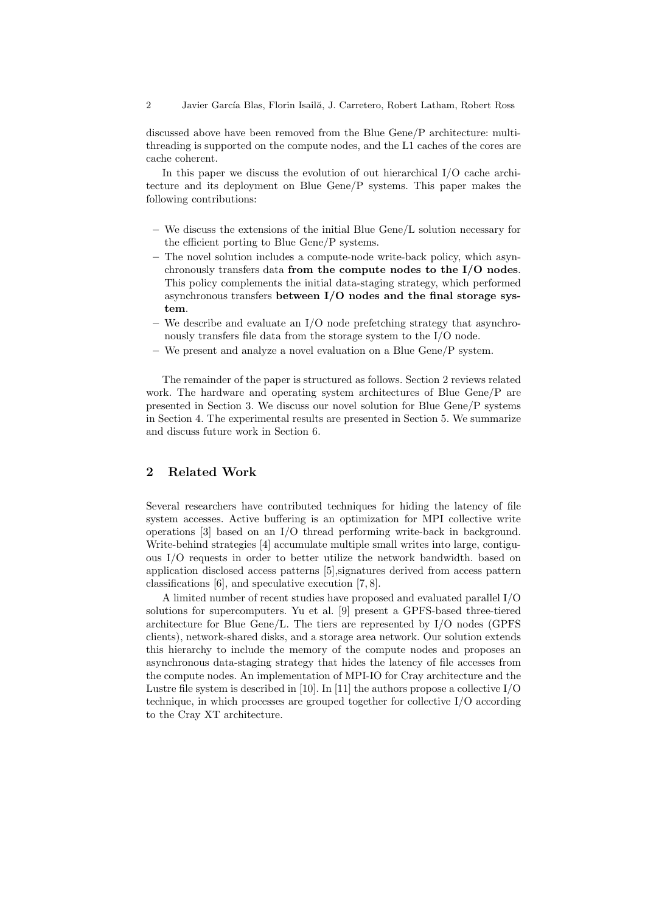discussed above have been removed from the Blue Gene/P architecture: multithreading is supported on the compute nodes, and the L1 caches of the cores are cache coherent.

In this paper we discuss the evolution of out hierarchical I/O cache architecture and its deployment on Blue Gene/P systems. This paper makes the following contributions:

- We discuss the extensions of the initial Blue Gene/L solution necessary for the efficient porting to Blue Gene/P systems.
- The novel solution includes a compute-node write-back policy, which asynchronously transfers data from the compute nodes to the I/O nodes. This policy complements the initial data-staging strategy, which performed asynchronous transfers between I/O nodes and the final storage system.
- We describe and evaluate an I/O node prefetching strategy that asynchronously transfers file data from the storage system to the I/O node.
- We present and analyze a novel evaluation on a Blue Gene/P system.

The remainder of the paper is structured as follows. Section 2 reviews related work. The hardware and operating system architectures of Blue Gene/P are presented in Section 3. We discuss our novel solution for Blue Gene/P systems in Section 4. The experimental results are presented in Section 5. We summarize and discuss future work in Section 6.

# 2 Related Work

Several researchers have contributed techniques for hiding the latency of file system accesses. Active buffering is an optimization for MPI collective write operations [3] based on an I/O thread performing write-back in background. Write-behind strategies [4] accumulate multiple small writes into large, contiguous I/O requests in order to better utilize the network bandwidth. based on application disclosed access patterns [5],signatures derived from access pattern classifications [6], and speculative execution [7, 8].

A limited number of recent studies have proposed and evaluated parallel I/O solutions for supercomputers. Yu et al. [9] present a GPFS-based three-tiered architecture for Blue Gene/L. The tiers are represented by I/O nodes (GPFS clients), network-shared disks, and a storage area network. Our solution extends this hierarchy to include the memory of the compute nodes and proposes an asynchronous data-staging strategy that hides the latency of file accesses from the compute nodes. An implementation of MPI-IO for Cray architecture and the Lustre file system is described in [10]. In [11] the authors propose a collective  $I/O$ technique, in which processes are grouped together for collective I/O according to the Cray XT architecture.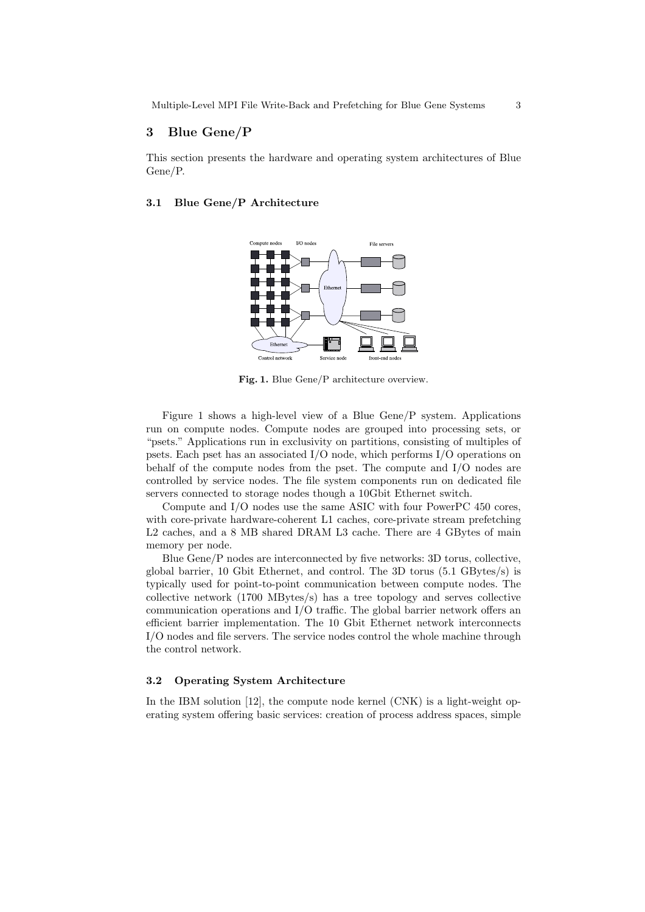# 3 Blue Gene/P

This section presents the hardware and operating system architectures of Blue Gene/P.

### 3.1 Blue Gene/P Architecture



Fig. 1. Blue Gene/P architecture overview.

Figure 1 shows a high-level view of a Blue Gene/P system. Applications run on compute nodes. Compute nodes are grouped into processing sets, or "psets." Applications run in exclusivity on partitions, consisting of multiples of psets. Each pset has an associated I/O node, which performs I/O operations on behalf of the compute nodes from the pset. The compute and I/O nodes are controlled by service nodes. The file system components run on dedicated file servers connected to storage nodes though a 10Gbit Ethernet switch.

Compute and I/O nodes use the same ASIC with four PowerPC 450 cores, with core-private hardware-coherent L1 caches, core-private stream prefetching L2 caches, and a 8 MB shared DRAM L3 cache. There are 4 GBytes of main memory per node.

Blue Gene/P nodes are interconnected by five networks: 3D torus, collective, global barrier, 10 Gbit Ethernet, and control. The 3D torus (5.1 GBytes/s) is typically used for point-to-point communication between compute nodes. The collective network (1700 MBytes/s) has a tree topology and serves collective communication operations and I/O traffic. The global barrier network offers an efficient barrier implementation. The 10 Gbit Ethernet network interconnects I/O nodes and file servers. The service nodes control the whole machine through the control network.

# 3.2 Operating System Architecture

In the IBM solution [12], the compute node kernel (CNK) is a light-weight operating system offering basic services: creation of process address spaces, simple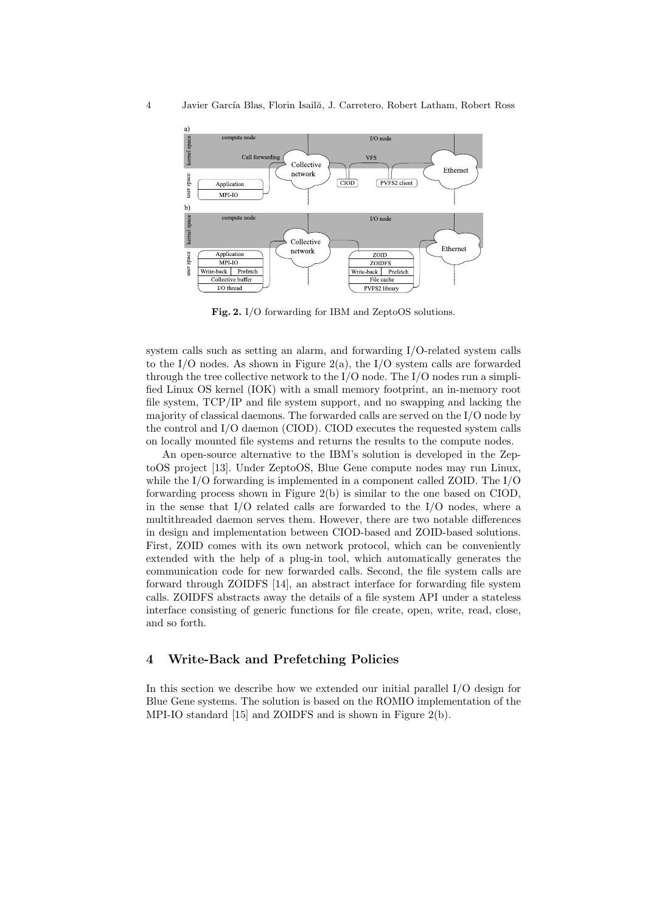

Fig. 2. I/O forwarding for IBM and ZeptoOS solutions.

system calls such as setting an alarm, and forwarding I/O-related system calls to the I/O nodes. As shown in Figure 2(a), the I/O system calls are forwarded through the tree collective network to the I/O node. The I/O nodes run a simplified Linux OS kernel (IOK) with a small memory footprint, an in-memory root file system, TCP/IP and file system support, and no swapping and lacking the majority of classical daemons. The forwarded calls are served on the I/O node by the control and I/O daemon (CIOD). CIOD executes the requested system calls on locally mounted file systems and returns the results to the compute nodes.

An open-source alternative to the IBM's solution is developed in the ZeptoOS project [13]. Under ZeptoOS, Blue Gene compute nodes may run Linux, while the I/O forwarding is implemented in a component called ZOID. The I/O forwarding process shown in Figure 2(b) is similar to the one based on CIOD, in the sense that I/O related calls are forwarded to the I/O nodes, where a multithreaded daemon serves them. However, there are two notable differences in design and implementation between CIOD-based and ZOID-based solutions. First, ZOID comes with its own network protocol, which can be conveniently extended with the help of a plug-in tool, which automatically generates the communication code for new forwarded calls. Second, the file system calls are forward through ZOIDFS [14], an abstract interface for forwarding file system calls. ZOIDFS abstracts away the details of a file system API under a stateless interface consisting of generic functions for file create, open, write, read, close, and so forth.

# 4 Write-Back and Prefetching Policies

In this section we describe how we extended our initial parallel I/O design for Blue Gene systems. The solution is based on the ROMIO implementation of the MPI-IO standard [15] and ZOIDFS and is shown in Figure 2(b).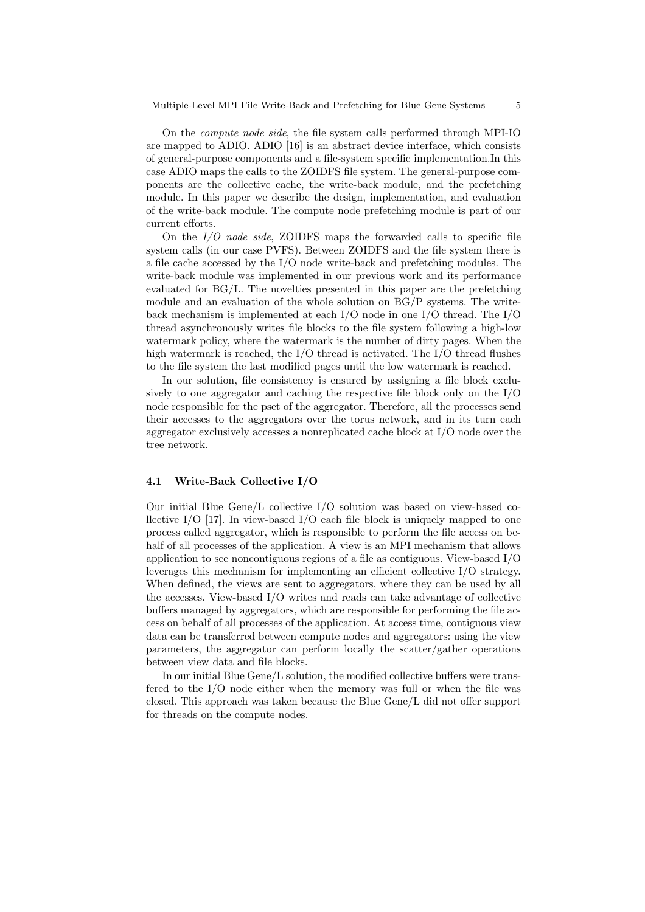On the compute node side, the file system calls performed through MPI-IO are mapped to ADIO. ADIO [16] is an abstract device interface, which consists of general-purpose components and a file-system specific implementation.In this case ADIO maps the calls to the ZOIDFS file system. The general-purpose components are the collective cache, the write-back module, and the prefetching module. In this paper we describe the design, implementation, and evaluation of the write-back module. The compute node prefetching module is part of our current efforts.

On the  $I/O$  node side, ZOIDFS maps the forwarded calls to specific file system calls (in our case PVFS). Between ZOIDFS and the file system there is a file cache accessed by the I/O node write-back and prefetching modules. The write-back module was implemented in our previous work and its performance evaluated for BG/L. The novelties presented in this paper are the prefetching module and an evaluation of the whole solution on BG/P systems. The writeback mechanism is implemented at each I/O node in one I/O thread. The I/O thread asynchronously writes file blocks to the file system following a high-low watermark policy, where the watermark is the number of dirty pages. When the high watermark is reached, the I/O thread is activated. The I/O thread flushes to the file system the last modified pages until the low watermark is reached.

In our solution, file consistency is ensured by assigning a file block exclusively to one aggregator and caching the respective file block only on the I/O node responsible for the pset of the aggregator. Therefore, all the processes send their accesses to the aggregators over the torus network, and in its turn each aggregator exclusively accesses a nonreplicated cache block at I/O node over the tree network.

# 4.1 Write-Back Collective I/O

Our initial Blue Gene/L collective I/O solution was based on view-based collective I/O [17]. In view-based I/O each file block is uniquely mapped to one process called aggregator, which is responsible to perform the file access on behalf of all processes of the application. A view is an MPI mechanism that allows application to see noncontiguous regions of a file as contiguous. View-based I/O leverages this mechanism for implementing an efficient collective I/O strategy. When defined, the views are sent to aggregators, where they can be used by all the accesses. View-based I/O writes and reads can take advantage of collective buffers managed by aggregators, which are responsible for performing the file access on behalf of all processes of the application. At access time, contiguous view data can be transferred between compute nodes and aggregators: using the view parameters, the aggregator can perform locally the scatter/gather operations between view data and file blocks.

In our initial Blue Gene/L solution, the modified collective buffers were transfered to the I/O node either when the memory was full or when the file was closed. This approach was taken because the Blue Gene/L did not offer support for threads on the compute nodes.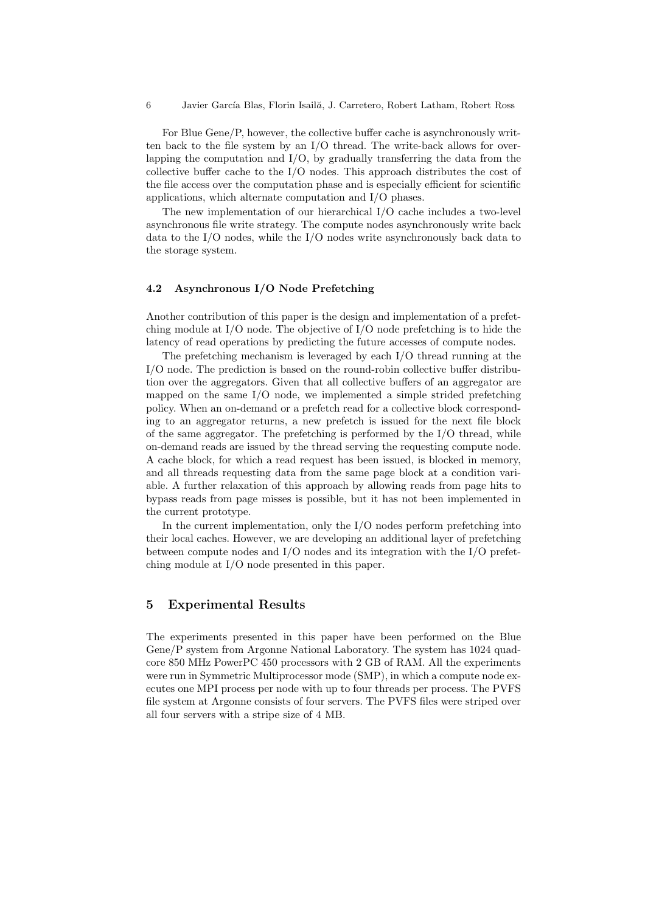6 Javier García Blas, Florin Isailă, J. Carretero, Robert Latham, Robert Ross

For Blue Gene/P, however, the collective buffer cache is asynchronously written back to the file system by an I/O thread. The write-back allows for overlapping the computation and I/O, by gradually transferring the data from the collective buffer cache to the I/O nodes. This approach distributes the cost of the file access over the computation phase and is especially efficient for scientific applications, which alternate computation and I/O phases.

The new implementation of our hierarchical I/O cache includes a two-level asynchronous file write strategy. The compute nodes asynchronously write back data to the I/O nodes, while the I/O nodes write asynchronously back data to the storage system.

#### 4.2 Asynchronous I/O Node Prefetching

Another contribution of this paper is the design and implementation of a prefetching module at I/O node. The objective of I/O node prefetching is to hide the latency of read operations by predicting the future accesses of compute nodes.

The prefetching mechanism is leveraged by each I/O thread running at the I/O node. The prediction is based on the round-robin collective buffer distribution over the aggregators. Given that all collective buffers of an aggregator are mapped on the same I/O node, we implemented a simple strided prefetching policy. When an on-demand or a prefetch read for a collective block corresponding to an aggregator returns, a new prefetch is issued for the next file block of the same aggregator. The prefetching is performed by the I/O thread, while on-demand reads are issued by the thread serving the requesting compute node. A cache block, for which a read request has been issued, is blocked in memory, and all threads requesting data from the same page block at a condition variable. A further relaxation of this approach by allowing reads from page hits to bypass reads from page misses is possible, but it has not been implemented in the current prototype.

In the current implementation, only the I/O nodes perform prefetching into their local caches. However, we are developing an additional layer of prefetching between compute nodes and I/O nodes and its integration with the I/O prefetching module at I/O node presented in this paper.

# 5 Experimental Results

The experiments presented in this paper have been performed on the Blue Gene/P system from Argonne National Laboratory. The system has 1024 quadcore 850 MHz PowerPC 450 processors with 2 GB of RAM. All the experiments were run in Symmetric Multiprocessor mode (SMP), in which a compute node executes one MPI process per node with up to four threads per process. The PVFS file system at Argonne consists of four servers. The PVFS files were striped over all four servers with a stripe size of 4 MB.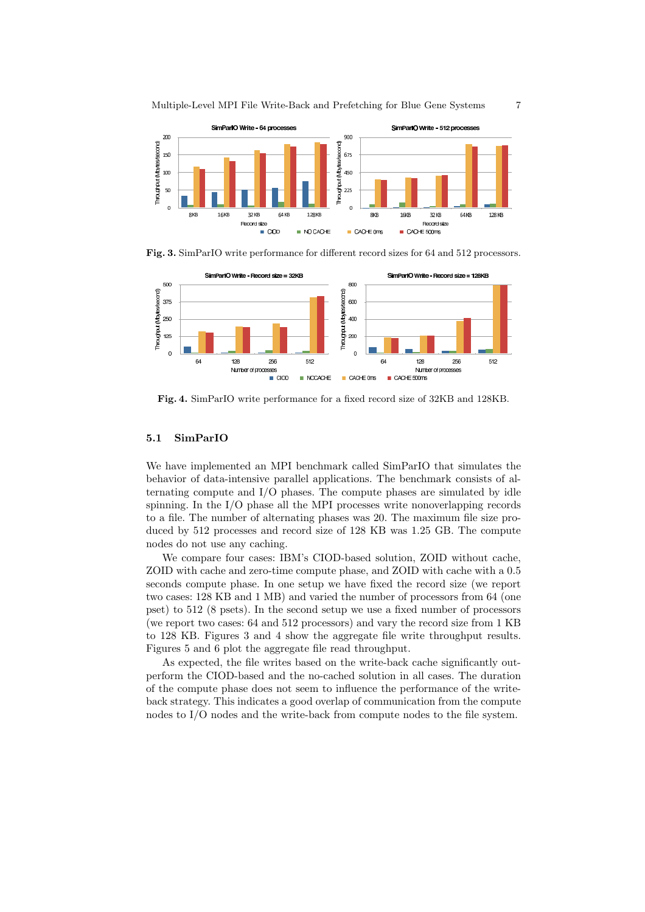

Fig. 3. SimParIO write performance for different record sizes for 64 and 512 processors.



Fig. 4. SimParIO write performance for a fixed record size of 32KB and 128KB.

### 5.1 SimParIO

We have implemented an MPI benchmark called SimParIO that simulates the behavior of data-intensive parallel applications. The benchmark consists of alternating compute and I/O phases. The compute phases are simulated by idle spinning. In the I/O phase all the MPI processes write nonoverlapping records to a file. The number of alternating phases was 20. The maximum file size produced by 512 processes and record size of 128 KB was 1.25 GB. The compute nodes do not use any caching.

We compare four cases: IBM's CIOD-based solution, ZOID without cache, ZOID with cache and zero-time compute phase, and ZOID with cache with a 0.5 seconds compute phase. In one setup we have fixed the record size (we report two cases: 128 KB and 1 MB) and varied the number of processors from 64 (one pset) to 512 (8 psets). In the second setup we use a fixed number of processors (we report two cases: 64 and 512 processors) and vary the record size from 1 KB to 128 KB. Figures 3 and 4 show the aggregate file write throughput results. Figures 5 and 6 plot the aggregate file read throughput.

As expected, the file writes based on the write-back cache significantly outperform the CIOD-based and the no-cached solution in all cases. The duration of the compute phase does not seem to influence the performance of the writeback strategy. This indicates a good overlap of communication from the compute nodes to I/O nodes and the write-back from compute nodes to the file system.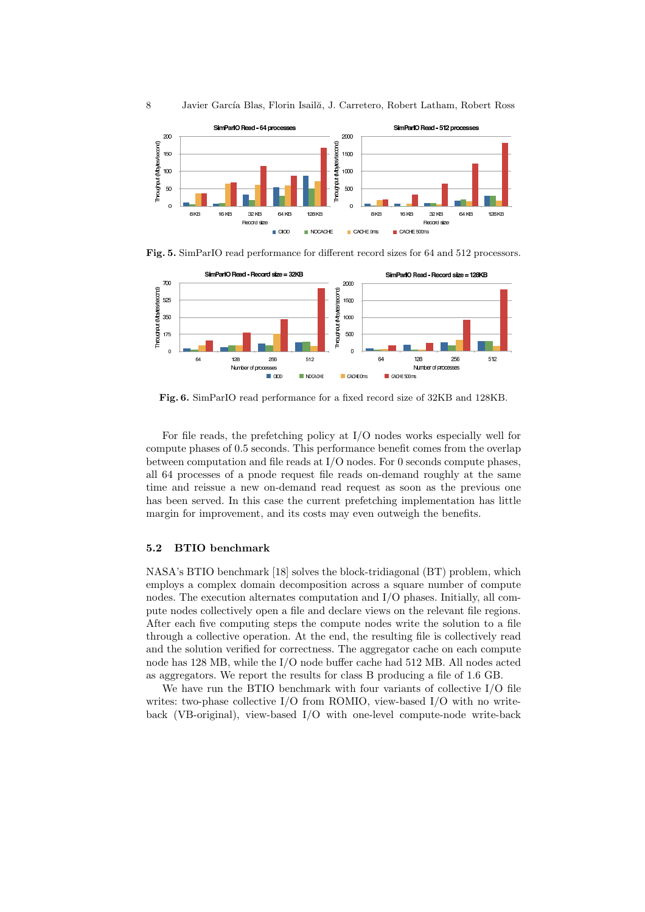

Fig. 5. SimParIO read performance for different record sizes for 64 and 512 processors.



Fig. 6. SimParIO read performance for a fixed record size of 32KB and 128KB.

For file reads, the prefetching policy at I/O nodes works especially well for compute phases of 0.5 seconds. This performance benefit comes from the overlap between computation and file reads at I/O nodes. For 0 seconds compute phases, all 64 processes of a pnode request file reads on-demand roughly at the same time and reissue a new on-demand read request as soon as the previous one has been served. In this case the current prefetching implementation has little margin for improvement, and its costs may even outweigh the benefits.

#### 5.2 BTIO benchmark

NASA's BTIO benchmark [18] solves the block-tridiagonal (BT) problem, which employs a complex domain decomposition across a square number of compute nodes. The execution alternates computation and I/O phases. Initially, all compute nodes collectively open a file and declare views on the relevant file regions. After each five computing steps the compute nodes write the solution to a file through a collective operation. At the end, the resulting file is collectively read and the solution verified for correctness. The aggregator cache on each compute node has 128 MB, while the I/O node buffer cache had 512 MB. All nodes acted as aggregators. We report the results for class B producing a file of 1.6 GB.

We have run the BTIO benchmark with four variants of collective I/O file writes: two-phase collective I/O from ROMIO, view-based I/O with no writeback (VB-original), view-based I/O with one-level compute-node write-back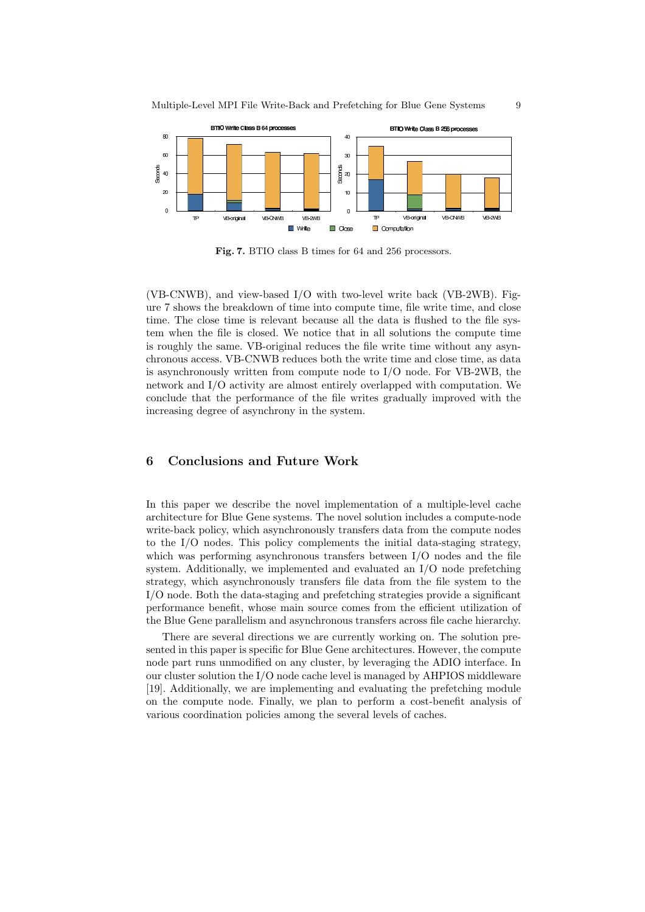

Fig. 7. BTIO class B times for 64 and 256 processors.

(VB-CNWB), and view-based I/O with two-level write back (VB-2WB). Figure 7 shows the breakdown of time into compute time, file write time, and close time. The close time is relevant because all the data is flushed to the file system when the file is closed. We notice that in all solutions the compute time is roughly the same. VB-original reduces the file write time without any asynchronous access. VB-CNWB reduces both the write time and close time, as data is asynchronously written from compute node to I/O node. For VB-2WB, the network and I/O activity are almost entirely overlapped with computation. We conclude that the performance of the file writes gradually improved with the increasing degree of asynchrony in the system.

# 6 Conclusions and Future Work

In this paper we describe the novel implementation of a multiple-level cache architecture for Blue Gene systems. The novel solution includes a compute-node write-back policy, which asynchronously transfers data from the compute nodes to the I/O nodes. This policy complements the initial data-staging strategy, which was performing asynchronous transfers between I/O nodes and the file system. Additionally, we implemented and evaluated an I/O node prefetching strategy, which asynchronously transfers file data from the file system to the I/O node. Both the data-staging and prefetching strategies provide a significant performance benefit, whose main source comes from the efficient utilization of the Blue Gene parallelism and asynchronous transfers across file cache hierarchy.

There are several directions we are currently working on. The solution presented in this paper is specific for Blue Gene architectures. However, the compute node part runs unmodified on any cluster, by leveraging the ADIO interface. In our cluster solution the I/O node cache level is managed by AHPIOS middleware [19]. Additionally, we are implementing and evaluating the prefetching module on the compute node. Finally, we plan to perform a cost-benefit analysis of various coordination policies among the several levels of caches.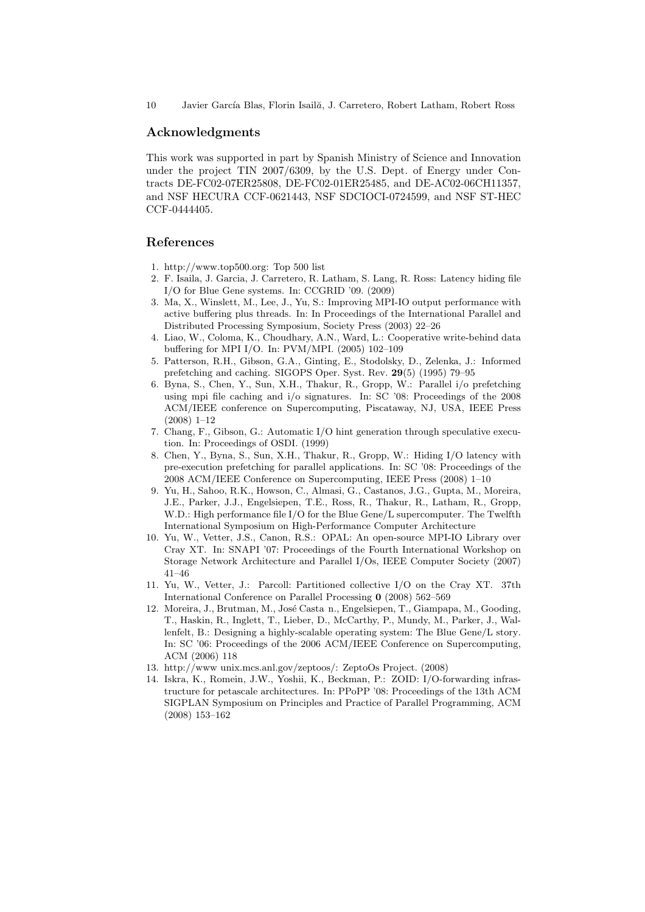10 Javier García Blas, Florin Isailă, J. Carretero, Robert Latham, Robert Ross

#### Acknowledgments

This work was supported in part by Spanish Ministry of Science and Innovation under the project TIN 2007/6309, by the U.S. Dept. of Energy under Contracts DE-FC02-07ER25808, DE-FC02-01ER25485, and DE-AC02-06CH11357, and NSF HECURA CCF-0621443, NSF SDCIOCI-0724599, and NSF ST-HEC CCF-0444405.

# References

- 1. http://www.top500.org: Top 500 list
- 2. F. Isaila, J. Garcia, J. Carretero, R. Latham, S. Lang, R. Ross: Latency hiding file I/O for Blue Gene systems. In: CCGRID '09. (2009)
- 3. Ma, X., Winslett, M., Lee, J., Yu, S.: Improving MPI-IO output performance with active buffering plus threads. In: In Proceedings of the International Parallel and Distributed Processing Symposium, Society Press (2003) 22–26
- 4. Liao, W., Coloma, K., Choudhary, A.N., Ward, L.: Cooperative write-behind data buffering for MPI I/O. In: PVM/MPI. (2005) 102–109
- 5. Patterson, R.H., Gibson, G.A., Ginting, E., Stodolsky, D., Zelenka, J.: Informed prefetching and caching. SIGOPS Oper. Syst. Rev. 29(5) (1995) 79–95
- 6. Byna, S., Chen, Y., Sun, X.H., Thakur, R., Gropp, W.: Parallel i/o prefetching using mpi file caching and i/o signatures. In: SC '08: Proceedings of the 2008 ACM/IEEE conference on Supercomputing, Piscataway, NJ, USA, IEEE Press (2008) 1–12
- 7. Chang, F., Gibson, G.: Automatic I/O hint generation through speculative execution. In: Proceedings of OSDI. (1999)
- 8. Chen, Y., Byna, S., Sun, X.H., Thakur, R., Gropp, W.: Hiding I/O latency with pre-execution prefetching for parallel applications. In: SC '08: Proceedings of the 2008 ACM/IEEE Conference on Supercomputing, IEEE Press (2008) 1–10
- 9. Yu, H., Sahoo, R.K., Howson, C., Almasi, G., Castanos, J.G., Gupta, M., Moreira, J.E., Parker, J.J., Engelsiepen, T.E., Ross, R., Thakur, R., Latham, R., Gropp, W.D.: High performance file I/O for the Blue Gene/L supercomputer. The Twelfth International Symposium on High-Performance Computer Architecture
- 10. Yu, W., Vetter, J.S., Canon, R.S.: OPAL: An open-source MPI-IO Library over Cray XT. In: SNAPI '07: Proceedings of the Fourth International Workshop on Storage Network Architecture and Parallel I/Os, IEEE Computer Society (2007) 41–46
- 11. Yu, W., Vetter, J.: Parcoll: Partitioned collective I/O on the Cray XT. 37th International Conference on Parallel Processing 0 (2008) 562–569
- 12. Moreira, J., Brutman, M., José Casta n., Engelsiepen, T., Giampapa, M., Gooding, T., Haskin, R., Inglett, T., Lieber, D., McCarthy, P., Mundy, M., Parker, J., Wallenfelt, B.: Designing a highly-scalable operating system: The Blue Gene/L story. In: SC '06: Proceedings of the 2006 ACM/IEEE Conference on Supercomputing, ACM (2006) 118
- 13. http://www unix.mcs.anl.gov/zeptoos/: ZeptoOs Project. (2008)
- 14. Iskra, K., Romein, J.W., Yoshii, K., Beckman, P.: ZOID: I/O-forwarding infrastructure for petascale architectures. In: PPoPP '08: Proceedings of the 13th ACM SIGPLAN Symposium on Principles and Practice of Parallel Programming, ACM (2008) 153–162